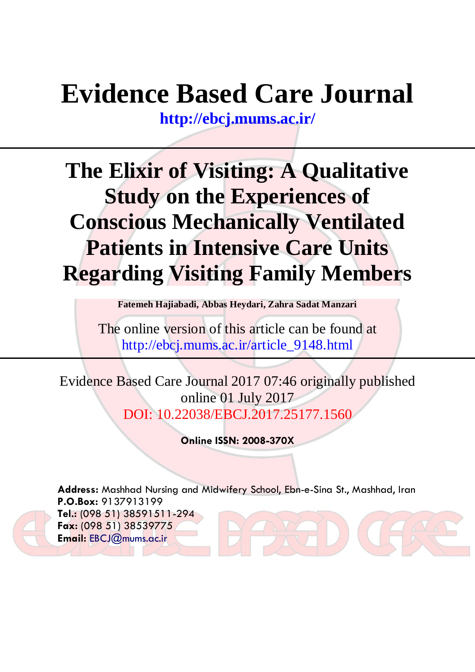# **Evidence Based Care Journal**

**<http://ebcj.mums.ac.ir/>**

# **The Elixir of Visiting: A Qualitative Study on the Experiences of Conscious Mechanically Ventilated Patients in Intensive Care Units Regarding Visiting Family Members**

**Fatemeh Hajiabadi, Abbas Heydari, Zahra Sadat Manzari** 

The online version of this article can be found at http://ebcj.mums.ac.ir/article\_9148.html

Evidence Based Care Journal 2017 07:46 originally published online 01 July 2017 DOI: 10.22038/EBCJ.2017.25177.1560

**Online ISSN: 2008-370X**

**Address:** Mashhad Nursing and Midwifery School, Ebn-e-Sina St., Mashhad, Iran **P.O.Box:** 9137913199 **Tel.:** (098 51) 38591511-294 **Fax:** (098 51) 38539775 **Email:** [EBCJ@mums.ac.ir](mailto:EBCJ@mums.ac.ir)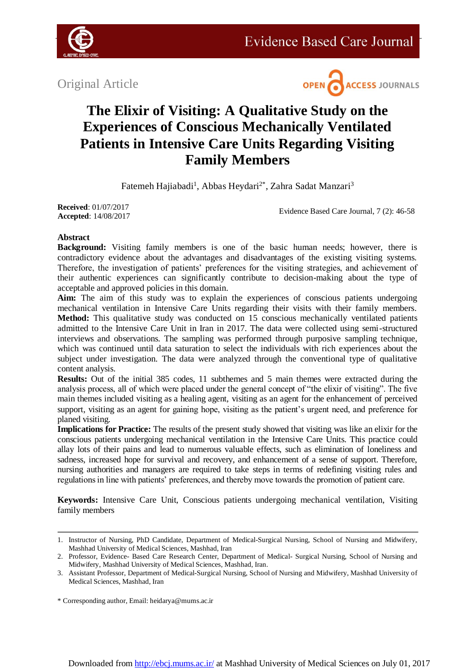

Original Article



# **The Elixir of Visiting: A Qualitative Study on the Experiences of Conscious Mechanically Ventilated Patients in Intensive Care Units Regarding Visiting Family Members**

Fatemeh Hajiabadi<sup>1</sup>, Abbas Heydari<sup>2\*</sup>, Zahra Sadat Manzari<sup>3</sup>

**Received**: 01/07/2017 **Accepted**: 14/08/2017

Evidence Based Care Journal, 7 (2): 46-58

# **Abstract**

**Background:** Visiting family members is one of the basic human needs; however, there is contradictory evidence about the advantages and disadvantages of the existing visiting systems. Therefore, the investigation of patients' preferences for the visiting strategies, and achievement of their authentic experiences can significantly contribute to decision-making about the type of acceptable and approved policies in this domain.

**Aim:** The aim of this study was to explain the experiences of conscious patients undergoing mechanical ventilation in Intensive Care Units regarding their visits with their family members. Method: This qualitative study was conducted on 15 conscious mechanically ventilated patients admitted to the Intensive Care Unit in Iran in 2017. The data were collected using semi-structured interviews and observations. The sampling was performed through purposive sampling technique, which was continued until data saturation to select the individuals with rich experiences about the subject under investigation. The data were analyzed through the conventional type of qualitative content analysis.

**Results:** Out of the initial 385 codes, 11 subthemes and 5 main themes were extracted during the analysis process, all of which were placed under the general concept of "the elixir of visiting". The five main themes included visiting as a healing agent, visiting as an agent for the enhancement of perceived support, visiting as an agent for gaining hope, visiting as the patient's urgent need, and preference for planed visiting.

**Implications for Practice:** The results of the present study showed that visiting was like an elixir for the conscious patients undergoing mechanical ventilation in the Intensive Care Units. This practice could allay lots of their pains and lead to numerous valuable effects, such as elimination of loneliness and sadness, increased hope for survival and recovery, and enhancement of a sense of support. Therefore, nursing authorities and managers are required to take steps in terms of redefining visiting rules and regulations in line with patients' preferences, and thereby move towards the promotion of patient care.

**Keywords:** Intensive Care Unit, Conscious patients undergoing mechanical ventilation, Visiting family members

<sup>1.</sup> Instructor of Nursing, PhD Candidate, Department of Medical-Surgical Nursing, School of Nursing and Midwifery, Mashhad University of Medical Sciences, Mashhad, Iran

<sup>2.</sup> Professor, Evidence- Based Care Research Center, Department of Medical- Surgical Nursing, School of Nursing and Midwifery, Mashhad University of Medical Sciences, Mashhad, Iran.

<sup>3.</sup> Assistant Professor, Department of Medical-Surgical Nursing, School of Nursing and Midwifery, Mashhad University of Medical Sciences, Mashhad, Iran

<sup>\*</sup> Corresponding author, Email[: heidarya@mums.ac.ir](mailto:heidarya@mums.ac.ir)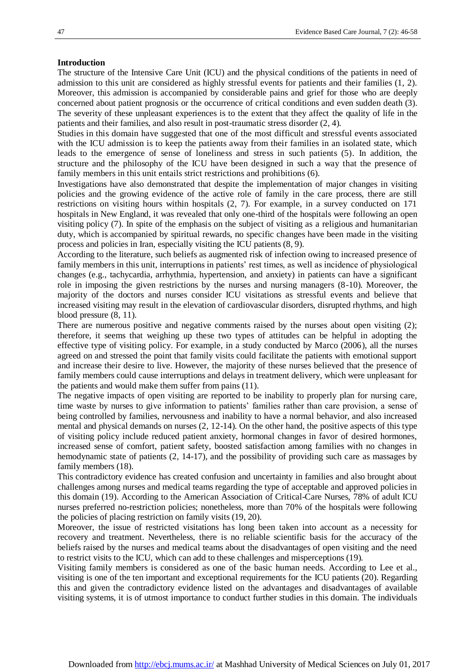#### **Introduction**

The structure of the Intensive Care Unit (ICU) and the physical conditions of the patients in need of admission to this unit are considered as highly stressful events for patients and their families (1, 2). Moreover, this admission is accompanied by considerable pains and grief for those who are deeply concerned about patient prognosis or the occurrence of critical conditions and even sudden death (3). The severity of these unpleasant experiences is to the extent that they affect the quality of life in the patients and their families, and also result in post-traumatic stress disorder (2, 4).

Studies in this domain have suggested that one of the most difficult and stressful events associated with the ICU admission is to keep the patients away from their families in an isolated state, which leads to the emergence of sense of loneliness and stress in such patients (5). In addition, the structure and the philosophy of the ICU have been designed in such a way that the presence of family members in this unit entails strict restrictions and prohibitions (6).

Investigations have also demonstrated that despite the implementation of major changes in visiting policies and the growing evidence of the active role of family in the care process, there are still restrictions on visiting hours within hospitals (2, 7). For example, in a survey conducted on 171 hospitals in New England, it was revealed that only one-third of the hospitals were following an open visiting policy (7). In spite of the emphasis on the subject of visiting as a religious and humanitarian duty, which is accompanied by spiritual rewards, no specific changes have been made in the visiting process and policies in Iran, especially visiting the ICU patients (8, 9).

According to the literature, such beliefs as augmented risk of infection owing to increased presence of family members in this unit, interruptions in patients' rest times, as well as incidence of physiological changes (e.g., tachycardia, arrhythmia, hypertension, and anxiety) in patients can have a significant role in imposing the given restrictions by the nurses and nursing managers (8-10). Moreover, the majority of the doctors and nurses consider ICU visitations as stressful events and believe that increased visiting may result in the elevation of cardiovascular disorders, disrupted rhythms, and high blood pressure (8, 11).

There are numerous positive and negative comments raised by the nurses about open visiting (2); therefore, it seems that weighing up these two types of attitudes can be helpful in adopting the effective type of visiting policy. For example, in a study conducted by Marco (2006), all the nurses agreed on and stressed the point that family visits could facilitate the patients with emotional support and increase their desire to live. However, the majority of these nurses believed that the presence of family members could cause interruptions and delays in treatment delivery, which were unpleasant for the patients and would make them suffer from pains (11).

The negative impacts of open visiting are reported to be inability to properly plan for nursing care, time waste by nurses to give information to patients' families rather than care provision, a sense of being controlled by families, nervousness and inability to have a normal behavior, and also increased mental and physical demands on nurses (2, 12-14). On the other hand, the positive aspects of this type of visiting policy include reduced patient anxiety, hormonal changes in favor of desired hormones, increased sense of comfort, patient safety, boosted satisfaction among families with no changes in hemodynamic state of patients (2, 14-17), and the possibility of providing such care as massages by family members (18).

This contradictory evidence has created confusion and uncertainty in families and also brought about challenges among nurses and medical teams regarding the type of acceptable and approved policies in this domain (19). According to the American Association of Critical-Care Nurses, 78% of adult ICU nurses preferred no-restriction policies; nonetheless, more than 70% of the hospitals were following the policies of placing restriction on family visits (19, 20).

Moreover, the issue of restricted visitations has long been taken into account as a necessity for recovery and treatment. Nevertheless, there is no reliable scientific basis for the accuracy of the beliefs raised by the nurses and medical teams about the disadvantages of open visiting and the need to restrict visits to the ICU, which can add to these challenges and misperceptions (19).

Visiting family members is considered as one of the basic human needs. According to Lee et al., visiting is one of the ten important and exceptional requirements for the ICU patients (20). Regarding this and given the contradictory evidence listed on the advantages and disadvantages of available visiting systems, it is of utmost importance to conduct further studies in this domain. The individuals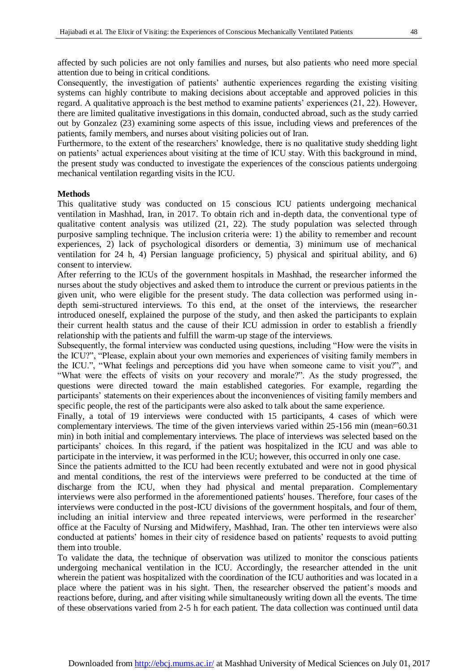affected by such policies are not only families and nurses, but also patients who need more special attention due to being in critical conditions.

Consequently, the investigation of patients' authentic experiences regarding the existing visiting systems can highly contribute to making decisions about acceptable and approved policies in this regard. A qualitative approach is the best method to examine patients' experiences (21, 22). However, there are limited qualitative investigations in this domain, conducted abroad, such as the study carried out by Gonzalez (23) examining some aspects of this issue, including views and preferences of the patients, family members, and nurses about visiting policies out of Iran.

Furthermore, to the extent of the researchers' knowledge, there is no qualitative study shedding light on patients' actual experiences about visiting at the time of ICU stay. With this background in mind, the present study was conducted to investigate the experiences of the conscious patients undergoing mechanical ventilation regarding visits in the ICU.

#### **Methods**

This qualitative study was conducted on 15 conscious ICU patients undergoing mechanical ventilation in Mashhad, Iran, in 2017. To obtain rich and in-depth data, the conventional type of qualitative content analysis was utilized (21, 22). The study population was selected through purposive sampling technique. The inclusion criteria were: 1) the ability to remember and recount experiences, 2) lack of psychological disorders or dementia, 3) minimum use of mechanical ventilation for 24 h, 4) Persian language proficiency, 5) physical and spiritual ability, and 6) consent to interview.

After referring to the ICUs of the government hospitals in Mashhad, the researcher informed the nurses about the study objectives and asked them to introduce the current or previous patients in the given unit, who were eligible for the present study. The data collection was performed using indepth semi-structured interviews. To this end, at the onset of the interviews, the researcher introduced oneself, explained the purpose of the study, and then asked the participants to explain their current health status and the cause of their ICU admission in order to establish a friendly relationship with the patients and fulfill the warm-up stage of the interviews.

Subsequently, the formal interview was conducted using questions, including "How were the visits in the ICU?", "Please, explain about your own memories and experiences of visiting family members in the ICU.", "What feelings and perceptions did you have when someone came to visit you?", and "What were the effects of visits on your recovery and morale?". As the study progressed, the questions were directed toward the main established categories. For example, regarding the participants' statements on their experiences about the inconveniences of visiting family members and specific people, the rest of the participants were also asked to talk about the same experience.

Finally, a total of 19 interviews were conducted with 15 participants, 4 cases of which were complementary interviews. The time of the given interviews varied within 25-156 min (mean=60.31 min) in both initial and complementary interviews. The place of interviews was selected based on the participants' choices. In this regard, if the patient was hospitalized in the ICU and was able to participate in the interview, it was performed in the ICU; however, this occurred in only one case.

Since the patients admitted to the ICU had been recently extubated and were not in good physical and mental conditions, the rest of the interviews were preferred to be conducted at the time of discharge from the ICU, when they had physical and mental preparation. Complementary interviews were also performed in the aforementioned patients' houses. Therefore, four cases of the interviews were conducted in the post-ICU divisions of the government hospitals, and four of them, including an initial interview and three repeated interviews, were performed in the researcher' office at the Faculty of Nursing and Midwifery, Mashhad, Iran. The other ten interviews were also conducted at patients' homes in their city of residence based on patients' requests to avoid putting them into trouble.

To validate the data, the technique of observation was utilized to monitor the conscious patients undergoing mechanical ventilation in the ICU. Accordingly, the researcher attended in the unit wherein the patient was hospitalized with the coordination of the ICU authorities and was located in a place where the patient was in his sight. Then, the researcher observed the patient's moods and reactions before, during, and after visiting while simultaneously writing down all the events. The time of these observations varied from 2-5 h for each patient. The data collection was continued until data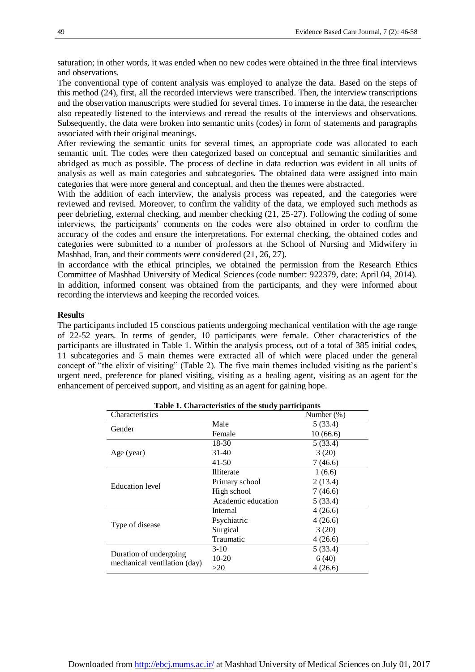saturation; in other words, it was ended when no new codes were obtained in the three final interviews and observations.

The conventional type of content analysis was employed to analyze the data. Based on the steps of this method (24), first, all the recorded interviews were transcribed. Then, the interview transcriptions and the observation manuscripts were studied for several times. To immerse in the data, the researcher also repeatedly listened to the interviews and reread the results of the interviews and observations. Subsequently, the data were broken into semantic units (codes) in form of statements and paragraphs associated with their original meanings.

After reviewing the semantic units for several times, an appropriate code was allocated to each semantic unit. The codes were then categorized based on conceptual and semantic similarities and abridged as much as possible. The process of decline in data reduction was evident in all units of analysis as well as main categories and subcategories. The obtained data were assigned into main categories that were more general and conceptual, and then the themes were abstracted.

With the addition of each interview, the analysis process was repeated, and the categories were reviewed and revised. Moreover, to confirm the validity of the data, we employed such methods as peer debriefing, external checking, and member checking (21, 25-27). Following the coding of some interviews, the participants' comments on the codes were also obtained in order to confirm the accuracy of the codes and ensure the interpretations. For external checking, the obtained codes and categories were submitted to a number of professors at the School of Nursing and Midwifery in Mashhad, Iran, and their comments were considered (21, 26, 27).

In accordance with the ethical principles, we obtained the permission from the Research Ethics Committee of Mashhad University of Medical Sciences (code number: 922379, date: April 04, 2014). In addition, informed consent was obtained from the participants, and they were informed about recording the interviews and keeping the recorded voices.

### **Results**

The participants included 15 conscious patients undergoing mechanical ventilation with the age range of 22-52 years. In terms of gender, 10 participants were female. Other characteristics of the participants are illustrated in Table 1. Within the analysis process, out of a total of 385 initial codes, 11 subcategories and 5 main themes were extracted all of which were placed under the general concept of "the elixir of visiting" (Table 2). The five main themes included visiting as the patient's urgent need, preference for planed visiting, visiting as a healing agent, visiting as an agent for the enhancement of perceived support, and visiting as an agent for gaining hope.

| Table 1. Characteristics of the study participants |                    |               |  |  |  |  |
|----------------------------------------------------|--------------------|---------------|--|--|--|--|
| Characteristics                                    |                    | Number $(\%)$ |  |  |  |  |
| Gender                                             | Male               | 5(33.4)       |  |  |  |  |
|                                                    | Female             | 10(66.6)      |  |  |  |  |
|                                                    | 18-30              | 5(33.4)       |  |  |  |  |
| Age (year)                                         | 31-40              | 3(20)         |  |  |  |  |
|                                                    | 41-50              | 7(46.6)       |  |  |  |  |
|                                                    | <b>Illiterate</b>  | 1(6.6)        |  |  |  |  |
| <b>Education</b> level                             | Primary school     | 2(13.4)       |  |  |  |  |
|                                                    | High school        | 7(46.6)       |  |  |  |  |
|                                                    | Academic education | 5(33.4)       |  |  |  |  |
|                                                    | Internal           | 4(26.6)       |  |  |  |  |
| Type of disease                                    | Psychiatric        | 4(26.6)       |  |  |  |  |
|                                                    | Surgical           | 3(20)         |  |  |  |  |
|                                                    | Traumatic          | 4(26.6)       |  |  |  |  |
|                                                    | $3-10$             | 5(33.4)       |  |  |  |  |
| Duration of undergoing                             | 10-20              | 6(40)         |  |  |  |  |
| mechanical ventilation (day)                       | >20                | 4(26.6)       |  |  |  |  |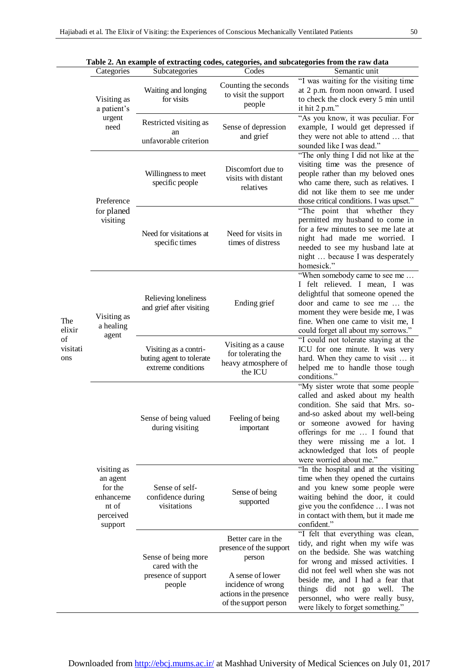|                                        |                                                                                  |                                                                         |                                                                                                                                                       | Table 2. An example of extracting codes, categories, and subcategories from the raw data                                                                                                                                                                                                                                              |
|----------------------------------------|----------------------------------------------------------------------------------|-------------------------------------------------------------------------|-------------------------------------------------------------------------------------------------------------------------------------------------------|---------------------------------------------------------------------------------------------------------------------------------------------------------------------------------------------------------------------------------------------------------------------------------------------------------------------------------------|
|                                        | Categories                                                                       | Subcategories                                                           | Codes                                                                                                                                                 | Semantic unit                                                                                                                                                                                                                                                                                                                         |
| The<br>elixir<br>of<br>visitati<br>ons | Visiting as<br>a patient's<br>urgent<br>need                                     | Waiting and longing<br>for visits                                       | Counting the seconds<br>to visit the support<br>people                                                                                                | "I was waiting for the visiting time<br>at 2 p.m. from noon onward. I used<br>to check the clock every 5 min until<br>it hit 2 p.m."                                                                                                                                                                                                  |
|                                        |                                                                                  | Restricted visiting as<br>an<br>unfavorable criterion                   | Sense of depression<br>and grief                                                                                                                      | "As you know, it was peculiar. For<br>example, I would get depressed if<br>they were not able to attend  that<br>sounded like I was dead."                                                                                                                                                                                            |
|                                        | Preference<br>for planed<br>visiting                                             | Willingness to meet<br>specific people                                  | Discomfort due to<br>visits with distant<br>relatives                                                                                                 | "The only thing I did not like at the<br>visiting time was the presence of<br>people rather than my beloved ones<br>who came there, such as relatives. I<br>did not like them to see me under<br>those critical conditions. I was upset."                                                                                             |
|                                        |                                                                                  | Need for visitations at<br>specific times                               | Need for visits in<br>times of distress                                                                                                               | "The point that whether they<br>permitted my husband to come in<br>for a few minutes to see me late at<br>night had made me worried. I<br>needed to see my husband late at<br>night  because I was desperately<br>homesick."                                                                                                          |
|                                        | Visiting as<br>a healing<br>agent                                                | Relieving loneliness<br>and grief after visiting                        | Ending grief                                                                                                                                          | "When somebody came to see me<br>I felt relieved. I mean, I was<br>delightful that someone opened the<br>door and came to see me  the<br>moment they were beside me, I was<br>fine. When one came to visit me, I<br>could forget all about my sorrows."                                                                               |
|                                        |                                                                                  | Visiting as a contri-<br>buting agent to tolerate<br>extreme conditions | Visiting as a cause<br>for tolerating the<br>heavy atmosphere of<br>the ICU                                                                           | "I could not tolerate staying at the<br>ICU for one minute. It was very<br>hard. When they came to visit  it<br>helped me to handle those tough<br>conditions."                                                                                                                                                                       |
|                                        | visiting as<br>an agent<br>for the<br>enhanceme<br>nt of<br>perceived<br>support | Sense of being valued<br>during visiting                                | Feeling of being<br>important                                                                                                                         | "My sister wrote that some people<br>called and asked about my health<br>condition. She said that Mrs. so-<br>and-so asked about my well-being<br>or someone avowed for having<br>offerings for me  I found that<br>they were missing me a lot. I<br>acknowledged that lots of people<br>were worried about me."                      |
|                                        |                                                                                  | Sense of self-<br>confidence during<br>visitations                      | Sense of being<br>supported                                                                                                                           | "In the hospital and at the visiting<br>time when they opened the curtains<br>and you knew some people were<br>waiting behind the door, it could<br>give you the confidence  I was not<br>in contact with them, but it made me<br>confident."                                                                                         |
|                                        |                                                                                  | Sense of being more<br>cared with the<br>presence of support<br>people  | Better care in the<br>presence of the support<br>person<br>A sense of lower<br>incidence of wrong<br>actions in the presence<br>of the support person | "I felt that everything was clean,<br>tidy, and right when my wife was<br>on the bedside. She was watching<br>for wrong and missed activities. I<br>did not feel well when she was not<br>beside me, and I had a fear that<br>things did not go well.<br>The<br>personnel, who were really busy,<br>were likely to forget something." |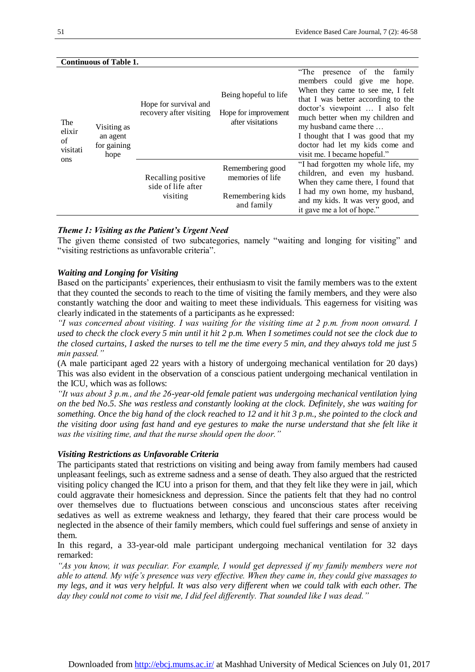| Continuous of Table 1.                 |                                                |                                                       |                                                                        |                                                                                                                                                                                                                                                                                                                                                 |  |  |
|----------------------------------------|------------------------------------------------|-------------------------------------------------------|------------------------------------------------------------------------|-------------------------------------------------------------------------------------------------------------------------------------------------------------------------------------------------------------------------------------------------------------------------------------------------------------------------------------------------|--|--|
| The<br>elixir<br>of<br>visitati<br>ons | Visiting as<br>an agent<br>for gaining<br>hope | Hope for survival and<br>recovery after visiting      | Being hopeful to life<br>Hope for improvement<br>after visitations     | "The presence of the<br>family<br>members could give me hope.<br>When they came to see me, I felt<br>that I was better according to the<br>doctor's viewpoint  I also felt<br>much better when my children and<br>my husband came there<br>I thought that I was good that my<br>doctor had let my kids come and<br>visit me. I became hopeful." |  |  |
|                                        |                                                | Recalling positive.<br>side of life after<br>visiting | Remembering good<br>memories of life<br>Remembering kids<br>and family | "I had forgotten my whole life, my<br>children, and even my husband.<br>When they came there, I found that<br>I had my own home, my husband,<br>and my kids. It was very good, and<br>it gave me a lot of hope."                                                                                                                                |  |  |

# **Continuous of Table 1.**

# *Theme 1: Visiting as the Patient's Urgent Need*

The given theme consisted of two subcategories, namely "waiting and longing for visiting" and "visiting restrictions as unfavorable criteria".

# *Waiting and Longing for Visiting*

Based on the participants' experiences, their enthusiasm to visit the family members was to the extent that they counted the seconds to reach to the time of visiting the family members, and they were also constantly watching the door and waiting to meet these individuals. This eagerness for visiting was clearly indicated in the statements of a participants as he expressed:

*"I was concerned about visiting. I was waiting for the visiting time at 2 p.m. from noon onward. I used to check the clock every 5 min until it hit 2 p.m. When I sometimes could not see the clock due to the closed curtains, I asked the nurses to tell me the time every 5 min, and they always told me just 5 min passed."*

(A male participant aged 22 years with a history of undergoing mechanical ventilation for 20 days) This was also evident in the observation of a conscious patient undergoing mechanical ventilation in the ICU, which was as follows:

*"It was about 3 p.m., and the 26-year-old female patient was undergoing mechanical ventilation lying on the bed No.5. She was restless and constantly looking at the clock. Definitely, she was waiting for something. Once the big hand of the clock reached to 12 and it hit 3 p.m., she pointed to the clock and the visiting door using fast hand and eye gestures to make the nurse understand that she felt like it was the visiting time, and that the nurse should open the door."* 

#### *Visiting Restrictions as Unfavorable Criteria*

The participants stated that restrictions on visiting and being away from family members had caused unpleasant feelings, such as extreme sadness and a sense of death. They also argued that the restricted visiting policy changed the ICU into a prison for them, and that they felt like they were in jail, which could aggravate their homesickness and depression. Since the patients felt that they had no control over themselves due to fluctuations between conscious and unconscious states after receiving sedatives as well as extreme weakness and lethargy, they feared that their care process would be neglected in the absence of their family members, which could fuel sufferings and sense of anxiety in them.

In this regard, a 33-year-old male participant undergoing mechanical ventilation for 32 days remarked:

*"As you know, it was peculiar. For example, I would get depressed if my family members were not able to attend. My wife's presence was very effective. When they came in, they could give massages to my legs, and it was very helpful. It was also very different when we could talk with each other. The day they could not come to visit me, I did feel differently. That sounded like I was dead."*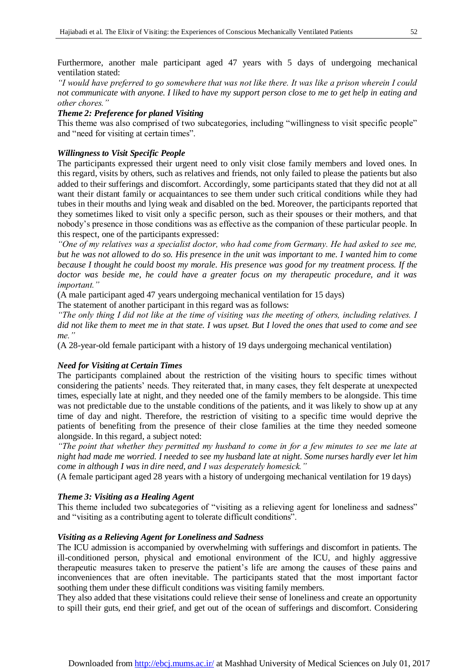Furthermore, another male participant aged 47 years with 5 days of undergoing mechanical ventilation stated:

*"I would have preferred to go somewhere that was not like there. It was like a prison wherein I could not communicate with anyone. I liked to have my support person close to me to get help in eating and other chores."* 

# *Theme 2: Preference for planed Visiting*

This theme was also comprised of two subcategories, including "willingness to visit specific people" and "need for visiting at certain times".

# *Willingness to Visit Specific People*

The participants expressed their urgent need to only visit close family members and loved ones. In this regard, visits by others, such as relatives and friends, not only failed to please the patients but also added to their sufferings and discomfort. Accordingly, some participants stated that they did not at all want their distant family or acquaintances to see them under such critical conditions while they had tubes in their mouths and lying weak and disabled on the bed. Moreover, the participants reported that they sometimes liked to visit only a specific person, such as their spouses or their mothers, and that nobody's presence in those conditions was as effective as the companion of these particular people. In this respect, one of the participants expressed:

*"One of my relatives was a specialist doctor, who had come from Germany. He had asked to see me, but he was not allowed to do so. His presence in the unit was important to me. I wanted him to come because I thought he could boost my morale. His presence was good for my treatment process. If the doctor was beside me, he could have a greater focus on my therapeutic procedure, and it was important."* 

(A male participant aged 47 years undergoing mechanical ventilation for 15 days)

The statement of another participant in this regard was as follows:

*"The only thing I did not like at the time of visiting was the meeting of others, including relatives. I did not like them to meet me in that state. I was upset. But I loved the ones that used to come and see me."* 

(A 28-year-old female participant with a history of 19 days undergoing mechanical ventilation)

# *Need for Visiting at Certain Times*

The participants complained about the restriction of the visiting hours to specific times without considering the patients' needs. They reiterated that, in many cases, they felt desperate at unexpected times, especially late at night, and they needed one of the family members to be alongside. This time was not predictable due to the unstable conditions of the patients, and it was likely to show up at any time of day and night. Therefore, the restriction of visiting to a specific time would deprive the patients of benefiting from the presence of their close families at the time they needed someone alongside. In this regard, a subject noted:

*"The point that whether they permitted my husband to come in for a few minutes to see me late at night had made me worried. I needed to see my husband late at night. Some nurses hardly ever let him come in although I was in dire need, and I was desperately homesick."* 

(A female participant aged 28 years with a history of undergoing mechanical ventilation for 19 days)

# *Theme 3: Visiting as a Healing Agent*

This theme included two subcategories of "visiting as a relieving agent for loneliness and sadness" and "visiting as a contributing agent to tolerate difficult conditions".

# *Visiting as a Relieving Agent for Loneliness and Sadness*

The ICU admission is accompanied by overwhelming with sufferings and discomfort in patients. The ill-conditioned person, physical and emotional environment of the ICU, and highly aggressive therapeutic measures taken to preserve the patient's life are among the causes of these pains and inconveniences that are often inevitable. The participants stated that the most important factor soothing them under these difficult conditions was visiting family members.

They also added that these visitations could relieve their sense of loneliness and create an opportunity to spill their guts, end their grief, and get out of the ocean of sufferings and discomfort. Considering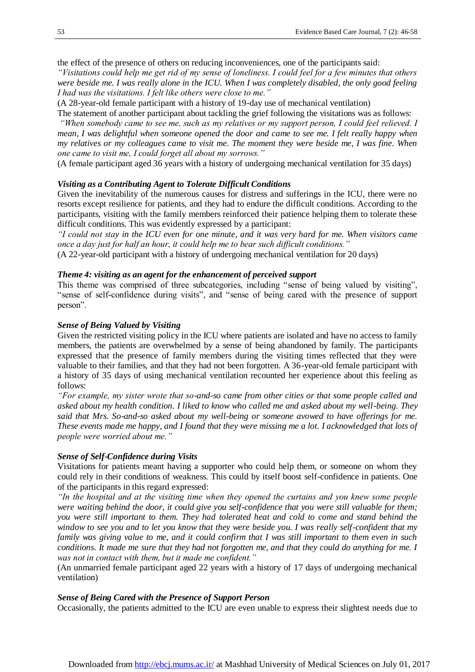the effect of the presence of others on reducing inconveniences, one of the participants said:

*"Visitations could help me get rid of my sense of loneliness. I could feel for a few minutes that others were beside me. I was really alone in the ICU. When I was completely disabled, the only good feeling I had was the visitations. I felt like others were close to me."* 

(A 28-year-old female participant with a history of 19-day use of mechanical ventilation)

The statement of another participant about tackling the grief following the visitations was as follows:

*"When somebody came to see me, such as my relatives or my support person, I could feel relieved. I mean, I was delightful when someone opened the door and came to see me. I felt really happy when my relatives or my colleagues came to visit me. The moment they were beside me, I was fine. When one came to visit me, I could forget all about my sorrows."* 

(A female participant aged 36 years with a history of undergoing mechanical ventilation for 35 days)

# *Visiting as a Contributing Agent to Tolerate Difficult Conditions*

Given the inevitability of the numerous causes for distress and sufferings in the ICU, there were no resorts except resilience for patients, and they had to endure the difficult conditions. According to the participants, visiting with the family members reinforced their patience helping them to tolerate these difficult conditions. This was evidently expressed by a participant:

*"I could not stay in the ICU even for one minute, and it was very hard for me. When visitors came once a day just for half an hour, it could help me to bear such difficult conditions."* (A 22-year-old participant with a history of undergoing mechanical ventilation for 20 days)

#### *Theme 4: visiting as an agent for the enhancement of perceived support*

This theme was comprised of three subcategories, including "sense of being valued by visiting", "sense of self-confidence during visits", and "sense of being cared with the presence of support person".

# *Sense of Being Valued by Visiting*

Given the restricted visiting policy in the ICU where patients are isolated and have no access to family members, the patients are overwhelmed by a sense of being abandoned by family. The participants expressed that the presence of family members during the visiting times reflected that they were valuable to their families, and that they had not been forgotten. A 36-year-old female participant with a history of 35 days of using mechanical ventilation recounted her experience about this feeling as follows:

*"For example, my sister wrote that so-and-so came from other cities or that some people called and asked about my health condition. I liked to know who called me and asked about my well-being. They said that Mrs. So-and-so asked about my well-being or someone avowed to have offerings for me. These events made me happy, and I found that they were missing me a lot. I acknowledged that lots of people were worried about me."*

#### *Sense of Self-Confidence during Visits*

Visitations for patients meant having a supporter who could help them, or someone on whom they could rely in their conditions of weakness. This could by itself boost self-confidence in patients. One of the participants in this regard expressed:

*"In the hospital and at the visiting time when they opened the curtains and you knew some people were waiting behind the door, it could give you self-confidence that you were still valuable for them; you were still important to them. They had tolerated heat and cold to come and stand behind the window to see you and to let you know that they were beside you. I was really self-confident that my family was giving value to me, and it could confirm that I was still important to them even in such conditions. It made me sure that they had not forgotten me, and that they could do anything for me. I was not in contact with them, but it made me confident."*

(An unmarried female participant aged 22 years with a history of 17 days of undergoing mechanical ventilation)

#### *Sense of Being Cared with the Presence of Support Person*

Occasionally, the patients admitted to the ICU are even unable to express their slightest needs due to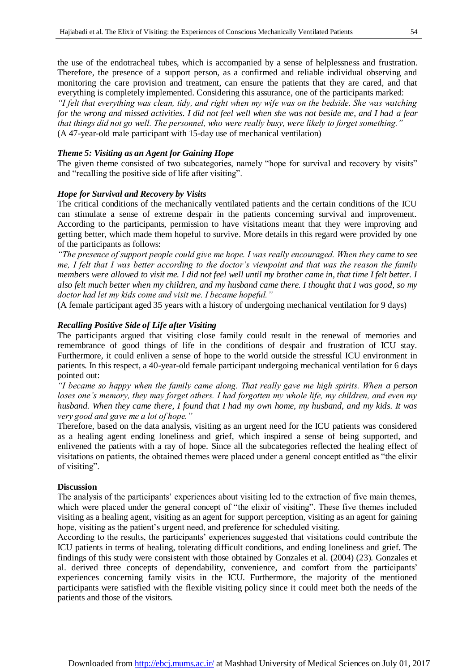the use of the endotracheal tubes, which is accompanied by a sense of helplessness and frustration. Therefore, the presence of a support person, as a confirmed and reliable individual observing and monitoring the care provision and treatment, can ensure the patients that they are cared, and that everything is completely implemented. Considering this assurance, one of the participants marked:

*"I felt that everything was clean, tidy, and right when my wife was on the bedside. She was watching for the wrong and missed activities. I did not feel well when she was not beside me, and I had a fear that things did not go well. The personnel, who were really busy, were likely to forget something."* (A 47-year-old male participant with 15-day use of mechanical ventilation)

# *Theme 5: Visiting as an Agent for Gaining Hope*

The given theme consisted of two subcategories, namely "hope for survival and recovery by visits" and "recalling the positive side of life after visiting".

# *Hope for Survival and Recovery by Visits*

The critical conditions of the mechanically ventilated patients and the certain conditions of the ICU can stimulate a sense of extreme despair in the patients concerning survival and improvement. According to the participants, permission to have visitations meant that they were improving and getting better, which made them hopeful to survive. More details in this regard were provided by one of the participants as follows:

*"The presence of support people could give me hope. I was really encouraged. When they came to see me, I felt that I was better according to the doctor's viewpoint and that was the reason the family members were allowed to visit me. I did not feel well until my brother came in, that time I felt better. I also felt much better when my children, and my husband came there. I thought that I was good, so my doctor had let my kids come and visit me. I became hopeful."*

(A female participant aged 35 years with a history of undergoing mechanical ventilation for 9 days)

# *Recalling Positive Side of Life after Visiting*

The participants argued that visiting close family could result in the renewal of memories and remembrance of good things of life in the conditions of despair and frustration of ICU stay. Furthermore, it could enliven a sense of hope to the world outside the stressful ICU environment in patients. In this respect, a 40-year-old female participant undergoing mechanical ventilation for 6 days pointed out:

*"I became so happy when the family came along. That really gave me high spirits. When a person loses one's memory, they may forget others. I had forgotten my whole life, my children, and even my husband. When they came there, I found that I had my own home, my husband, and my kids. It was very good and gave me a lot of hope."* 

Therefore, based on the data analysis, visiting as an urgent need for the ICU patients was considered as a healing agent ending loneliness and grief, which inspired a sense of being supported, and enlivened the patients with a ray of hope. Since all the subcategories reflected the healing effect of visitations on patients, the obtained themes were placed under a general concept entitled as "the elixir of visiting".

# **Discussion**

The analysis of the participants' experiences about visiting led to the extraction of five main themes, which were placed under the general concept of "the elixir of visiting". These five themes included visiting as a healing agent, visiting as an agent for support perception, visiting as an agent for gaining hope, visiting as the patient's urgent need, and preference for scheduled visiting.

According to the results, the participants' experiences suggested that visitations could contribute the ICU patients in terms of healing, tolerating difficult conditions, and ending loneliness and grief. The findings of this study were consistent with those obtained by Gonzales et al. (2004) (23). Gonzales et al. derived three concepts of dependability, convenience, and comfort from the participants' experiences concerning family visits in the ICU. Furthermore, the majority of the mentioned participants were satisfied with the flexible visiting policy since it could meet both the needs of the patients and those of the visitors.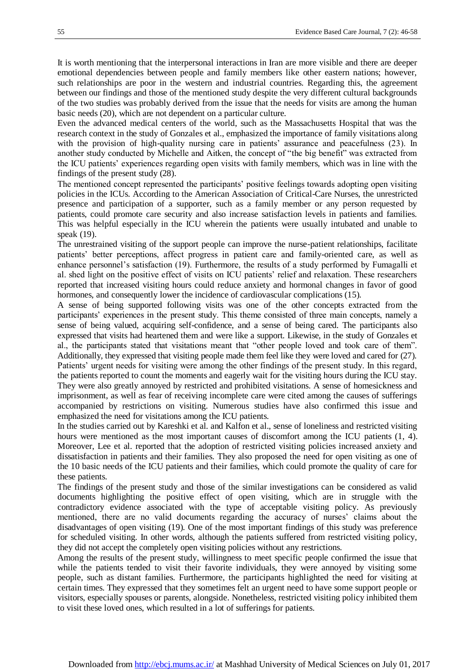It is worth mentioning that the interpersonal interactions in Iran are more visible and there are deeper emotional dependencies between people and family members like other eastern nations; however, such relationships are poor in the western and industrial countries. Regarding this, the agreement between our findings and those of the mentioned study despite the very different cultural backgrounds of the two studies was probably derived from the issue that the needs for visits are among the human basic needs (20), which are not dependent on a particular culture.

Even the advanced medical centers of the world, such as the Massachusetts Hospital that was the research context in the study of Gonzales et al., emphasized the importance of family visitations along with the provision of high-quality nursing care in patients' assurance and peacefulness (23). In another study conducted by Michelle and Aitken, the concept of "the big benefit" was extracted from the ICU patients' experiences regarding open visits with family members, which was in line with the findings of the present study (28).

The mentioned concept represented the participants' positive feelings towards adopting open visiting policies in the ICUs. According to the American Association of Critical-Care Nurses, the unrestricted presence and participation of a supporter, such as a family member or any person requested by patients, could promote care security and also increase satisfaction levels in patients and families. This was helpful especially in the ICU wherein the patients were usually intubated and unable to speak (19).

The unrestrained visiting of the support people can improve the nurse-patient relationships, facilitate patients' better perceptions, affect progress in patient care and family-oriented care, as well as enhance personnel's satisfaction (19). Furthermore, the results of a study performed by Fumagalli et al. shed light on the positive effect of visits on ICU patients' relief and relaxation. These researchers reported that increased visiting hours could reduce anxiety and hormonal changes in favor of good hormones, and consequently lower the incidence of cardiovascular complications (15).

A sense of being supported following visits was one of the other concepts extracted from the participants' experiences in the present study. This theme consisted of three main concepts, namely a sense of being valued, acquiring self-confidence, and a sense of being cared. The participants also expressed that visits had heartened them and were like a support. Likewise, in the study of Gonzales et al., the participants stated that visitations meant that "other people loved and took care of them". Additionally, they expressed that visiting people made them feel like they were loved and cared for (27). Patients' urgent needs for visiting were among the other findings of the present study. In this regard, the patients reported to count the moments and eagerly wait for the visiting hours during the ICU stay. They were also greatly annoyed by restricted and prohibited visitations. A sense of homesickness and imprisonment, as well as fear of receiving incomplete care were cited among the causes of sufferings accompanied by restrictions on visiting. Numerous studies have also confirmed this issue and emphasized the need for visitations among the ICU patients.

In the studies carried out by Kareshki et al. and Kalfon et al., sense of loneliness and restricted visiting hours were mentioned as the most important causes of discomfort among the ICU patients (1, 4). Moreover, Lee et al. reported that the adoption of restricted visiting policies increased anxiety and dissatisfaction in patients and their families. They also proposed the need for open visiting as one of the 10 basic needs of the ICU patients and their families, which could promote the quality of care for these patients.

The findings of the present study and those of the similar investigations can be considered as valid documents highlighting the positive effect of open visiting, which are in struggle with the contradictory evidence associated with the type of acceptable visiting policy. As previously mentioned, there are no valid documents regarding the accuracy of nurses' claims about the disadvantages of open visiting (19). One of the most important findings of this study was preference for scheduled visiting. In other words, although the patients suffered from restricted visiting policy, they did not accept the completely open visiting policies without any restrictions.

Among the results of the present study, willingness to meet specific people confirmed the issue that while the patients tended to visit their favorite individuals, they were annoyed by visiting some people, such as distant families. Furthermore, the participants highlighted the need for visiting at certain times. They expressed that they sometimes felt an urgent need to have some support people or visitors, especially spouses or parents, alongside. Nonetheless, restricted visiting policy inhibited them to visit these loved ones, which resulted in a lot of sufferings for patients.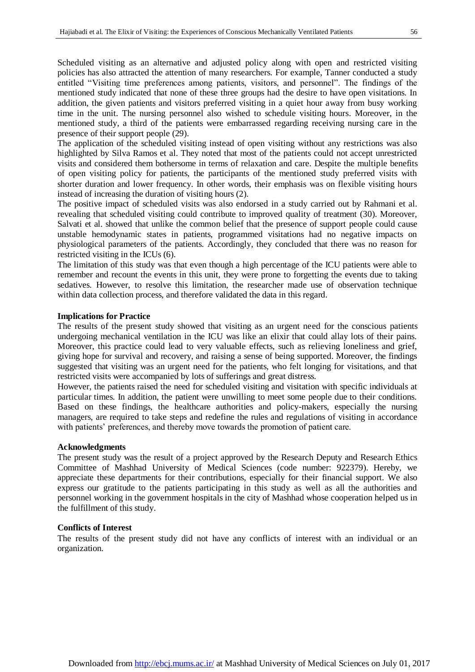Scheduled visiting as an alternative and adjusted policy along with open and restricted visiting policies has also attracted the attention of many researchers. For example, Tanner conducted a study entitled "Visiting time preferences among patients, visitors, and personnel". The findings of the mentioned study indicated that none of these three groups had the desire to have open visitations. In addition, the given patients and visitors preferred visiting in a quiet hour away from busy working time in the unit. The nursing personnel also wished to schedule visiting hours. Moreover, in the mentioned study, a third of the patients were embarrassed regarding receiving nursing care in the presence of their support people (29).

The application of the scheduled visiting instead of open visiting without any restrictions was also highlighted by Silva Ramos et al. They noted that most of the patients could not accept unrestricted visits and considered them bothersome in terms of relaxation and care. Despite the multiple benefits of open visiting policy for patients, the participants of the mentioned study preferred visits with shorter duration and lower frequency. In other words, their emphasis was on flexible visiting hours instead of increasing the duration of visiting hours (2).

The positive impact of scheduled visits was also endorsed in a study carried out by Rahmani et al. revealing that scheduled visiting could contribute to improved quality of treatment (30). Moreover, Salvati et al. showed that unlike the common belief that the presence of support people could cause unstable hemodynamic states in patients, programmed visitations had no negative impacts on physiological parameters of the patients. Accordingly, they concluded that there was no reason for restricted visiting in the ICUs (6).

The limitation of this study was that even though a high percentage of the ICU patients were able to remember and recount the events in this unit, they were prone to forgetting the events due to taking sedatives. However, to resolve this limitation, the researcher made use of observation technique within data collection process, and therefore validated the data in this regard.

#### **Implications for Practice**

The results of the present study showed that visiting as an urgent need for the conscious patients undergoing mechanical ventilation in the ICU was like an elixir that could allay lots of their pains. Moreover, this practice could lead to very valuable effects, such as relieving loneliness and grief, giving hope for survival and recovery, and raising a sense of being supported. Moreover, the findings suggested that visiting was an urgent need for the patients, who felt longing for visitations, and that restricted visits were accompanied by lots of sufferings and great distress.

However, the patients raised the need for scheduled visiting and visitation with specific individuals at particular times. In addition, the patient were unwilling to meet some people due to their conditions. Based on these findings, the healthcare authorities and policy-makers, especially the nursing managers, are required to take steps and redefine the rules and regulations of visiting in accordance with patients' preferences, and thereby move towards the promotion of patient care.

#### **Acknowledgments**

The present study was the result of a project approved by the Research Deputy and Research Ethics Committee of Mashhad University of Medical Sciences (code number: 922379). Hereby, we appreciate these departments for their contributions, especially for their financial support. We also express our gratitude to the patients participating in this study as well as all the authorities and personnel working in the government hospitals in the city of Mashhad whose cooperation helped us in the fulfillment of this study.

### **Conflicts of Interest**

The results of the present study did not have any conflicts of interest with an individual or an organization.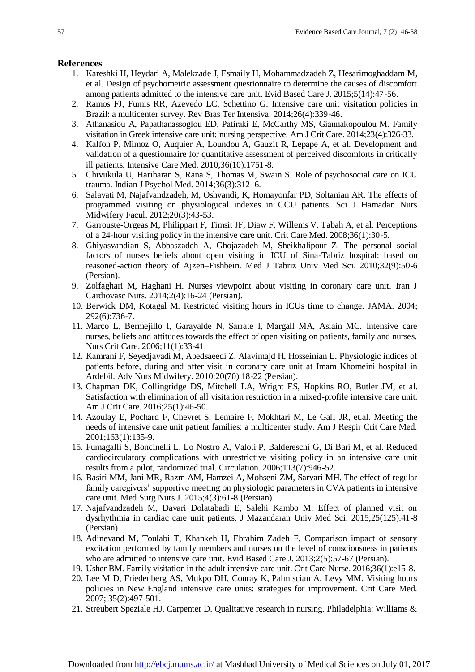# **References**

- 1. Kareshki H, Heydari A, Malekzade J, Esmaily H, Mohammadzadeh Z, Hesarimoghaddam M, et al. Design of psychometric assessment questionnaire to determine the causes of discomfort among patients admitted to the intensive care unit. Evid Based Care J. 2015;5(14):47-56.
- 2. Ramos FJ, Fumis RR, Azevedo LC, Schettino G. Intensive care unit visitation policies in Brazil: a multicenter survey. Rev Bras Ter Intensiva. 2014;26(4):339-46.
- 3. Athanasiou A, Papathanassoglou ED, Patiraki E, McCarthy MS, Giannakopoulou M. Family visitation in Greek intensive care unit: nursing perspective. Am J Crit Care. 2014;23(4):326-33.
- 4. Kalfon P, Mimoz O, Auquier A, Loundou A, Gauzit R, Lepape A, et al. Development and validation of a questionnaire for quantitative assessment of perceived discomforts in critically ill patients. Intensive Care Med. 2010;36(10):1751-8.
- 5. Chivukula U, Hariharan S, Rana S, Thomas M, Swain S. Role of psychosocial care on ICU trauma. Indian [J Psychol Med.](https://www.ncbi.nlm.nih.gov/pmc/journals/1547/) 2014;36(3):312–6.
- 6. Salavati M, Najafvandzadeh, M, Oshvandi, K, Homayonfar PD, Soltanian AR. The effects of programmed visiting on physiological indexes in CCU patients. Sci J Hamadan Nurs Midwifery Facul. 2012;20(3):43-53.
- 7. Garrouste-Orgeas M, Philippart F, Timsit JF, Diaw F, Willems V, Tabah A, et al. Perceptions of a 24-hour visiting policy in the intensive care unit. Crit Care Med. 2008;36(1):30-5.
- 8. Ghiyasvandian S, Abbaszadeh A, Ghojazadeh M, Sheikhalipour Z. The personal social factors of nurses beliefs about open visiting in ICU of Sina-Tabriz hospital: based on reasoned-action theory of Ajzen–Fishbein. Med J Tabriz Univ Med Sci. 2010;32(9):50-6 (Persian).
- 9. Zolfaghari M, Haghani H. Nurses viewpoint about visiting in coronary care unit. Iran J Cardiovasc Nurs. 2014;2(4):16-24 (Persian).
- 10. Berwick DM, Kotagal M. Restricted visiting hours in ICUs time to change. JAMA. 2004; 292(6):736-7.
- 11. Marco L, Bermejillo I, Garayalde N, Sarrate I, Margall MA, Asiain MC. Intensive care nurses, beliefs and attitudes towards the effect of open visiting on patients, family and nurses. Nurs Crit Care. 2006;11(1):33-41.
- 12. Kamrani F, Seyedjavadi M, Abedsaeedi Z, Alavimajd H, Hosseinian E. Physiologic indices of patients before, during and after visit in coronary care unit at Imam Khomeini hospital in Ardebil. Adv Nurs Midwifery. 2010;20(70):18-22 (Persian).
- 13. Chapman DK, Collingridge DS, Mitchell LA, Wright ES, [Hopkins RO,](https://www.ncbi.nlm.nih.gov/pubmed/?term=Hopkins%20RO%5BAuthor%5D&cauthor=true&cauthor_uid=26724293) [Butler JM,](https://www.ncbi.nlm.nih.gov/pubmed/?term=Butler%20JM%5BAuthor%5D&cauthor=true&cauthor_uid=26724293) et al. Satisfaction with elimination of all visitation restriction in a mixed-profile intensive care unit. Am J Crit Care. 2016;25(1):46-50.
- 14. Azoulay E, Pochard F, Chevret S, Lemaire F, Mokhtari M, Le Gall JR, et.al. Meeting the needs of intensive care unit patient families: a multicenter study. Am J Respir Crit Care Med. 2001;163(1):135-9.
- 15. Fumagalli S, Boncinelli L, Lo Nostro A, Valoti P, Baldereschi G, Di Bari M, et al. Reduced cardiocirculatory complications with unrestrictive visiting policy in an intensive care unit results from a pilot, randomized trial. Circulation. 2006;113(7):946-52.
- 16. Basiri MM, Jani MR, Razm AM, Hamzei A, Mohseni ZM, Sarvari MH. The effect of regular family caregivers' supportive meeting on physiologic parameters in CVA patients in intensive care unit. Med Surg Nurs J. 2015;4(3):61-8 (Persian).
- 17. Najafvandzadeh M, Davari Dolatabadi E, Salehi Kambo M. Effect of planned visit on dysrhythmia in cardiac care unit patients. J Mazandaran Univ Med Sci. 2015;25(125):41-8 (Persian).
- 18. Adinevand M, Toulabi T, Khankeh H, Ebrahim Zadeh F. Comparison impact of sensory excitation performed by family members and nurses on the level of consciousness in patients who are admitted to intensive care unit. Evid Based Care J. 2013;2(5):57-67 (Persian).
- 19. Usher BM. Family visitation in the adult intensive care unit. Crit Care Nurse. 2016;36(1):e15-8.
- 20. Lee M D, Friedenberg AS, Mukpo DH, Conray K, Palmiscian A, Levy MM. Visiting hours policies in New England intensive care units: strategies for improvement. Crit Care Med. 2007; 35(2):497-501.
- 21. Streubert Speziale HJ, Carpenter D. Qualitative research in nursing. Philadelphia: Williams &